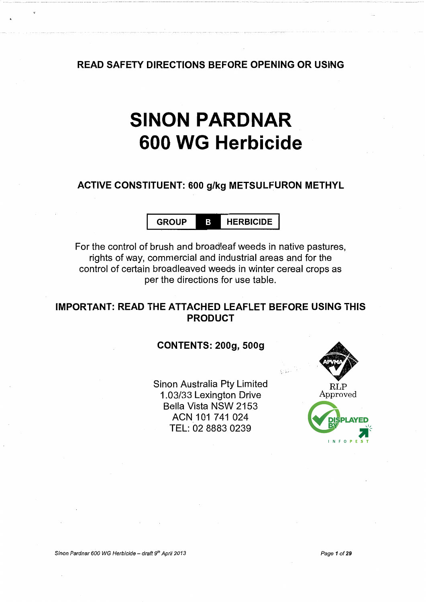READ SAFETY DIRECTIONS BEFORE OPENING OR USING

# SINON **PARDNAR 600 WG Herbicide**

### ACTIVE CONSTITUENT: 600 g/kg METSULFURON METHYL

GROUP **B** HERBICIDE

For the control of brush and broadleaf weeds in native pastures, rights of way, commercial and industrial areas and for the control of certain broadleaved weeds in winter cereal crops as per the directions for use table.

### IMPORTANT: READ THE ATTACHED LEAFLET BEFORE USING THIS PRODUCT

#### CONTENTS: 200g, 500g

Sinon Australia Pty Limited 1.03/33 Lexington Drive Bella Vista NSW 2153 ACN 101 741 024 TEL: 02 8883 0239

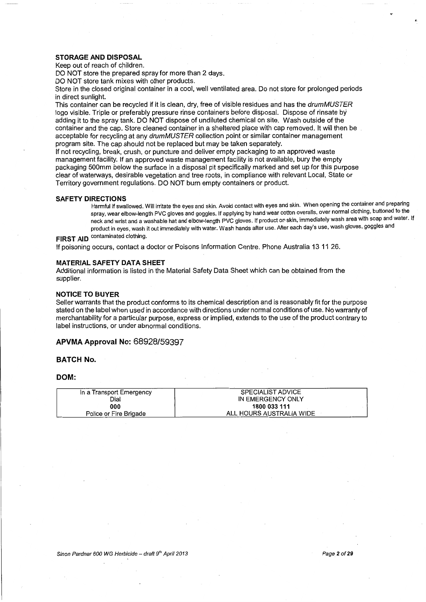#### **STORAGE AND DISPOSAL**

Keep out of reach of children.

DO NOT store the prepared spray for more than 2 days.

DO NOT store tank mixes with other products.

Store in the closed original container in a cool, well ventilated area. Do not store for prolonged periods in direct sunlight.

This container can be recycled if it is clean, dry, free of visible residues and has the drum MUSTER logo visible. Triple or preferably pressure rinse containers before disposal. Dispose of rinsate by adding it to the spray tank. DO NOT dispose of undiluted chemical on site. Wash outside of the container and the cap. Store cleaned container in a sheltered place with cap removed. It will then be acceptable for recycling at any drumMUSTER collection point or similar container management program site. The cap should not be replaced but may be taken separately.

If not recycling, break, crush, or puncture and deliver empty packaging to an approved waste management facility. If an approved waste management facility is not available, bury the empty packaging 500mm below the surface in a disposal pit specifically marked and set up for this purpose clear of waterways, desirable vegetation and tree roots, in compliance with relevant Local, State or Territory government regulations. DO NOT burn empty containers or product.

#### **SAFETY DIRECTIONS**

Harmful if swallowed. Will irritate the eyes and skin. Avoid contact with eyes and skin. When opening the container and preparing spray, wear elbow-length PVC gloves and goggles. If applying by hand wear cotton overalls, over normal clothing, buttoned to the neck and wrist and a washable hat and elbow-length PVC gloves. If product on skin, immediately wash area with soap and water. If product in eyes, wash it out immediately with water. Wash hands after use. After each day's use, wash gloves, goggles and **FIRST AID** contaminated clothing.

If poisoning occurs, contact a doctor or Poisons Information Centre. Phone Australia 13 11 26.

#### **MATERIAL SAFETY DATA SHEET**

Additional information is listed in the Material Safety Data Sheet which can be obtained from the supplier.

#### **NOTICE TO BUYER**

Seller warrants that the product conforms to its chemical description and is reasonably fit for the purpose stated on the label when used in accordance with directions under normal conditions of use. No warranty of merchantability for a particular purpose, express or implied, extends to the use of the product contrary to label instructions, or under abnormal conditions.

#### **APVMA Approval No:** 68928/59397

**BATCH No.** 

#### **DOM:**

| In a Transport Emergency | <b>SPECIALIST ADVICE</b> |
|--------------------------|--------------------------|
| Dial                     | IN EMERGENCY ONLY        |
| 000                      | 1800 033 111             |
| Police or Fire Brigade   | ALL HOURS AUSTRALIA WIDE |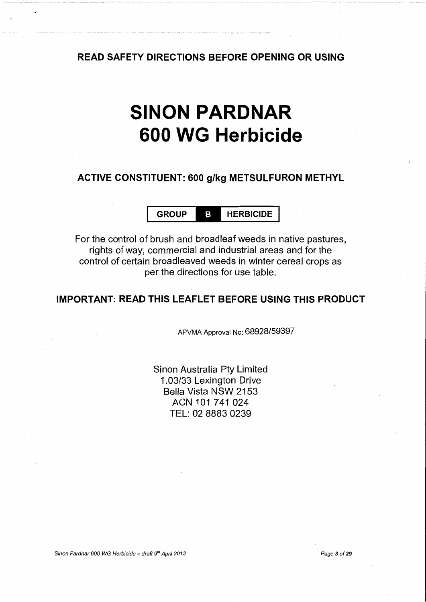#### **READ SAFETY DIRECTIONS BEFORE OPENING OR USING**

## **SINON PARDNAR 600 WG Herbicide**

#### **ACTIVE CONSTITUENT: 600 g/kg METSULFURON METHYL**

**GROUP HERBICIDE** 

For the control of brush and broadleaf weeds in native pastures, rights of way, commercial and industrial areas and for the control of certain broadleaved weeds in winter cereal crops as per the directions for use table.

#### **IMPORTANT: READ THIS LEAFLET BEFORE USING THIS PRODUCT**

APVMA Approval No: 68928/59397

Sinon Australia Pty Limited 1.03/33 Lexington Drive Bella Vista NSW 2153 ACN 101 741 024 TEL: 02 8883 0239

Sinon Pardnar 600 WG Herbicide- draft *gth* Apri/2013 Page 3 of29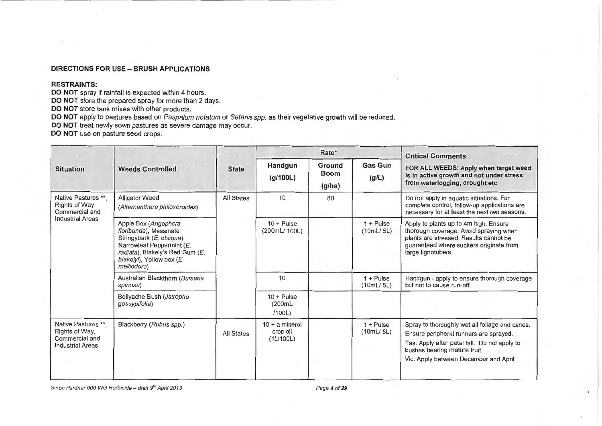#### DIRECTIONS FOR USE- BRUSH APPLICATIONS

#### RESTRAINTS:

DO NOT spray if rainfall is expected within 4 hours.

DO NOT store the prepared spray for more than 2 days.

DO NOT store tank mixes with other products.

DO NOT apply to pastures based on Paspalum notatum or Setaria spp. as their vegetative growth will be reduced.

DO NOT treat newly sown pastures as severe damage may occur.

DO NOT use on pasture seed crops.

|                                                                                    |                                                                                                                                                                                        |                   |                                           | Rate*                           |                                 | <b>Critical Comments</b>                                                                                                                                                                                          |
|------------------------------------------------------------------------------------|----------------------------------------------------------------------------------------------------------------------------------------------------------------------------------------|-------------------|-------------------------------------------|---------------------------------|---------------------------------|-------------------------------------------------------------------------------------------------------------------------------------------------------------------------------------------------------------------|
| <b>Situation</b>                                                                   | <b>Weeds Controlled</b>                                                                                                                                                                | <b>State</b>      | Handgun<br>(g/100L)                       | Ground<br><b>Boom</b><br>(g/ha) | <b>Gas Gun</b><br>(g/L)         | FOR ALL WEEDS: Apply when target weed<br>is in active growth and not under stress<br>from waterlogging, drought etc                                                                                               |
| Native Pastures **,<br>Rights of Way.<br>Commercial and                            | <b>Alligator Weed</b><br>(Alternanthera philoxeroides)                                                                                                                                 | <b>All States</b> | 10                                        | 80                              |                                 | Do not apply in aquatic situations. For<br>complete control, follow-up applications are<br>necessary for at least the next two seasons.                                                                           |
| <b>Industrial Areas</b>                                                            | Apple Box (Angophora<br>floribunda), Messmate<br>Stringybark (E. obliqua),<br>Narrowleaf Peppermint (E.<br>radiata), Blakely's Red Gum (E.<br>blakelyi), Yellow box (E.<br>melliodora) |                   | $10 + \text{Pulse}$<br>(200mL/100L)       |                                 | $1 + \text{Pulse}$<br>(10mL/5L) | Apply to plants up to 4m high. Ensure<br>thorough coverage. Avoid spraying when<br>plants are stressed. Results cannot be<br>guaranteed where suckers originate from<br>large lignotubers.                        |
|                                                                                    | Australian Blackthorn (Bursaria<br>spinosa)                                                                                                                                            |                   | 10                                        |                                 | $1 +$ Pulse<br>(10mL/5L)        | Handgun - apply to ensure thorough coverage<br>but not to cause run-off.                                                                                                                                          |
|                                                                                    | Bellyache Bush (Jatropha<br>gossypifolia)                                                                                                                                              |                   | $10 + Pulse$<br>(200mL)<br>/100L)         |                                 |                                 |                                                                                                                                                                                                                   |
| Native Pastures **.<br>Rights of Way,<br>Commercial and<br><b>Industrial Areas</b> | Blackberry (Rubus spp.)                                                                                                                                                                | <b>All States</b> | $10 + a$ mineral<br>crop oil<br>(1L/100L) |                                 | $1 + \text{Pulse}$<br>(10mL/5L) | Spray to thoroughly wet all foliage and canes.<br>Ensure peripheral runners are sprayed.<br>Tas: Apply after petal fall. Do not apply to<br>bushes bearing mature fruit.<br>Vic: Apply between December and April |

Sinon Pardnar 600 WG Herbicide - draft 9<sup>th</sup> April 2013 **Page 4 of 29** Page 4 of 29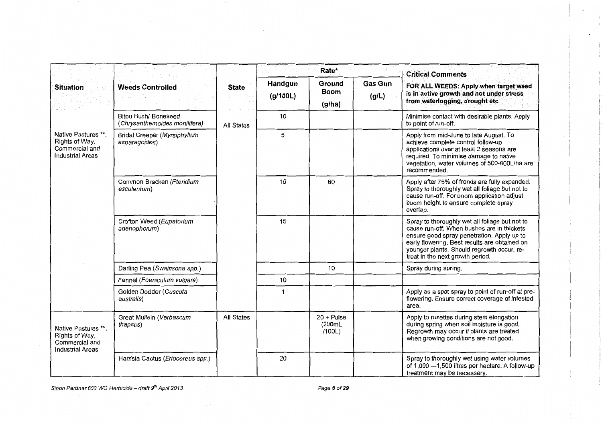|                                                                                    |                                                       |                   |                     | Rate*                            |                         | <b>Critical Comments</b>                                                                                                                                                                                                                                                      |
|------------------------------------------------------------------------------------|-------------------------------------------------------|-------------------|---------------------|----------------------------------|-------------------------|-------------------------------------------------------------------------------------------------------------------------------------------------------------------------------------------------------------------------------------------------------------------------------|
| <b>Situation</b>                                                                   | <b>Weeds Controlled</b>                               | <b>State</b>      | Handgun<br>(g/100L) | Ground<br><b>Boom</b><br>(g/ha)  | <b>Gas Gun</b><br>(g/L) | FOR ALL WEEDS: Apply when target weed<br>is in active growth and not under stress<br>from waterlogging, drought etc                                                                                                                                                           |
|                                                                                    | Bitou Bush/ Boneseed<br>(Chrysanthemoides monilifera) | All States        | 10                  |                                  |                         | Minimise contact with desirable plants. Apply<br>to point of run-off.                                                                                                                                                                                                         |
| Native Pastures **,<br>Rights of Way,<br>Commercial and<br><b>Industrial Areas</b> | <b>Bridal Creeper (Myrsiphyllum</b><br>asparagoides)  |                   | 5                   |                                  |                         | Apply from mid-June to late August. To<br>achieve complete control follow-up<br>applications over at least 2 seasons are<br>required. To minimise damage to native<br>vegetation, water volumes of 500-800L/ha are<br>recommended.                                            |
|                                                                                    | Common Bracken (Pteridium<br>esculentum)              |                   | 10                  | 60                               |                         | Apply after 75% of fronds are fully expanded.<br>Spray to thoroughly wet all foliage but not to<br>cause run-off. For boom application adjust<br>boom height to ensure complete spray<br>overlap.                                                                             |
|                                                                                    | Crofton Weed (Eupatorium<br>adenophorum)              |                   | 15                  |                                  |                         | Spray to thoroughly wet all foliage but not to<br>cause run-off. When bushes are in thickets<br>ensure good spray penetration. Apply up to<br>early flowering. Best results are obtained on<br>younger plants. Should regrowth occur, re-<br>treat in the next growth period. |
|                                                                                    | Darling Pea (Swainsona spp.)                          |                   |                     | 10                               |                         | Spray during spring.                                                                                                                                                                                                                                                          |
|                                                                                    | Fennel (Foeniculum vulgare)                           |                   | 10                  |                                  |                         |                                                                                                                                                                                                                                                                               |
|                                                                                    | Golden Dodder (Cuscuta<br>australis)                  |                   | 1                   |                                  |                         | Apply as a spot spray to point of run-off at pre-<br>flowering. Ensure correct coverage of infested<br>area.                                                                                                                                                                  |
| Native Pastures **,<br>Rights of Way,<br>Commercial and<br><b>Industrial Areas</b> | Great Mullein (Verbascum<br>thapsus)                  | <b>All States</b> |                     | $20 + Pulse$<br>(200mL<br>/100L) |                         | Apply to rosettes during stem elongation<br>during spring when soil moisture is good.<br>Regrowth may occur if plants are treated<br>when growing conditions are not good.                                                                                                    |
|                                                                                    | Harrisia Cactus (Eriocereus spp.)                     |                   | 20                  |                                  |                         | Spray to thoroughly wet using water volumes<br>of 1,000 - 1,500 litres per hectare. A follow-up<br>treatment may be necessary.                                                                                                                                                |

Sinon Pardnar 600 WG Herbicide – draft 9<sup>th</sup> April 2013 **Page 5 of 29** Page 5 of 29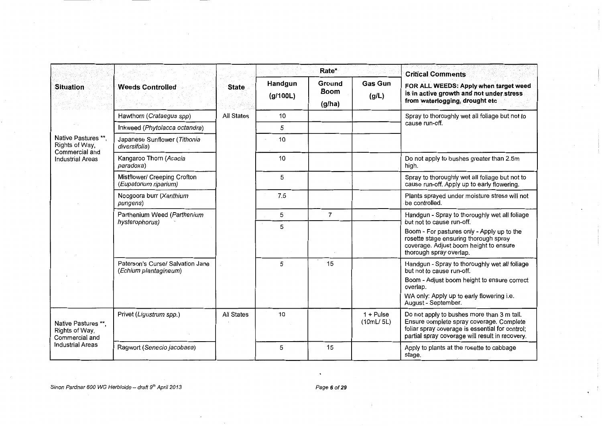|                                                         | <b>Weeds Controlled</b>                                   |                   |                     | Rate*                           |                          | <b>Critical Comments</b>                                                                                                                                                                                  |
|---------------------------------------------------------|-----------------------------------------------------------|-------------------|---------------------|---------------------------------|--------------------------|-----------------------------------------------------------------------------------------------------------------------------------------------------------------------------------------------------------|
| Situation                                               |                                                           | State             | Handgun<br>(g/100L) | Ground<br><b>Boom</b><br>(g/ha) | <b>Gas Gun</b><br>(g/L)  | FOR ALL WEEDS: Apply when target weed<br>is in active growth and not under stress<br>from waterlogging, drought etc                                                                                       |
|                                                         | Hawthorn (Crataegus spp)                                  | <b>All States</b> | 10                  |                                 |                          | Spray to thoroughly wet all foliage but not to                                                                                                                                                            |
|                                                         | Inkweed (Phytolacca octandra)                             |                   | 5                   |                                 |                          | cause run-off.                                                                                                                                                                                            |
| Native Pastures **.<br>Rights of Way,<br>Commercial and | Japanese Sunflower (Tithonia<br>diversifolia)             |                   | 10                  |                                 |                          |                                                                                                                                                                                                           |
| <b>Industrial Areas</b>                                 | Kangaroo Thorn (Acacia<br>paradoxa)                       |                   | 10                  |                                 |                          | Do not apply to bushes greater than 2.5m<br>high.                                                                                                                                                         |
|                                                         | Mistflower/ Creeping Crofton<br>(Eupatorium riparium)     |                   | 5                   |                                 |                          | Spray to thoroughly wet all foliage but not to<br>cause run-off. Apply up to early flowering.                                                                                                             |
|                                                         | Noogoora burr (Xanthium<br>pungens)                       |                   | 7.5                 |                                 |                          | Plants sprayed under moisture stress will not<br>be controlled.                                                                                                                                           |
|                                                         | Parthenium Weed (Parthenium                               |                   | 5                   | $\overline{7}$                  |                          | Handgun - Spray to thoroughly wet all foliage<br>but not to cause run-off.                                                                                                                                |
|                                                         | hysterophorus)                                            |                   | 5                   |                                 |                          | Boom - For pastures only - Apply up to the<br>rosette stage ensuring thorough spray<br>coverage. Adjust boom height to ensure<br>thorough spray overlap.                                                  |
|                                                         | Paterson's Curse/ Salvation Jane<br>(Echium plantagineum) |                   | 5                   | 15                              |                          | Handgun - Spray to thoroughly wet all foliage<br>but not to cause run-off.<br>Boom - Adjust boom height to ensure correct<br>overlap.<br>WA only: Apply up to early flowering i.e.<br>August - September. |
| Native Pastures **.<br>Rights of Way,<br>Commercial and | Privet (Ligustrum spp.)                                   | <b>All States</b> | 10                  |                                 | $1 +$ Pulse<br>(10mL/5L) | Do not apply to bushes more than 3 m tall.<br>Ensure complete spray coverage. Complete<br>foliar spray coverage is essential for control;<br>partial spray coverage will result in recovery.              |
| Industrial Areas                                        | Ragwort (Senecio jacobaea)                                |                   | 5                   | 15                              |                          | Apply to plants at the rosette to cabbage<br>stage.                                                                                                                                                       |

 $\cdot$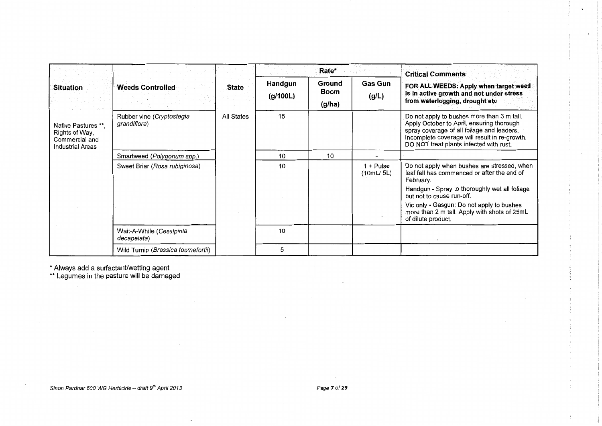|                                                                                    |                                           |            | Rate*               |                                 |                          | <b>Critical Comments</b>                                                                                                                                                                                                          |
|------------------------------------------------------------------------------------|-------------------------------------------|------------|---------------------|---------------------------------|--------------------------|-----------------------------------------------------------------------------------------------------------------------------------------------------------------------------------------------------------------------------------|
| <b>Situation</b>                                                                   | <b>Weeds Controlled</b>                   | State      | Handgun<br>(g/100L) | Ground<br><b>Boom</b><br>(g/ha) | <b>Gas Gun</b><br>(g/L)  | FOR ALL WEEDS: Apply when target weed<br>is in active growth and not under stress<br>from waterlogging, drought etc                                                                                                               |
| Native Pastures **.<br>Rights of Way,<br>Commercial and<br><b>Industrial Areas</b> | Rubber vine (Cryptostegia<br>grandiflora) | All States | 15                  |                                 |                          | Do not apply to bushes more than 3 m tall.<br>Apply October to April, ensuring thorough<br>spray coverage of all foliage and leaders.<br>Incomplete coverage will result in re-growth.<br>DO NOT treat plants infected with rust. |
|                                                                                    | Smartweed (Polygonum spp.)                |            | 10                  | 10                              |                          |                                                                                                                                                                                                                                   |
|                                                                                    | Sweet Briar (Rosa rubiginosa)             |            | 10                  |                                 | $1 +$ Pulse<br>(10mL/5L) | Do not apply when bushes are stressed, when<br>leaf fall has commenced or after the end of<br>February.                                                                                                                           |
|                                                                                    |                                           |            |                     |                                 |                          | Handgun - Spray to thoroughly wet all foliage<br>but not to cause run-off.                                                                                                                                                        |
|                                                                                    |                                           |            |                     |                                 |                          | Vic only - Gasgun: Do not apply to bushes<br>more than 2 m tall. Apply with shots of 25mL<br>of dilute product.                                                                                                                   |
|                                                                                    | Wait-A-While (Cesalpinia<br>decapelata)   |            | 10                  |                                 |                          |                                                                                                                                                                                                                                   |
|                                                                                    | Wild Turnip (Brassica tournefortii)       |            | 5                   |                                 |                          |                                                                                                                                                                                                                                   |

 $\ddot{\phantom{a}}$ 

\*Always add a surfactant/wetting agent

 $\label{eq:2.1} \mathcal{L}_{\mathcal{A}}(\mathcal{A}) = \mathcal{L}_{\mathcal{A}}(\mathcal{A}) = \mathcal{L}_{\mathcal{A}}(\mathcal{A})$ 

\*\*Legumes in the pasture will be damaged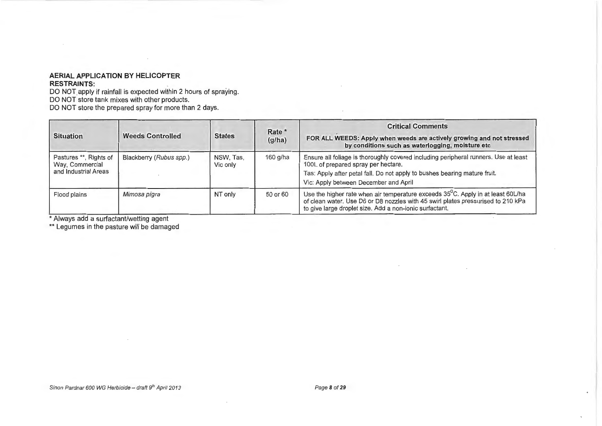#### AERIAL APPLICATION BY HELICOPTER RESTRAINTS:

DO NOT apply if rainfall is expected within 2 hours of spraying. DO NOT store tank mixes with other products. DO NOT store the prepared spray for more than 2 days.

| <b>Situation</b>                                                  | <b>Weeds Controlled</b> | <b>States</b>         | Rate *<br>(g/ha) | <b>Critical Comments</b><br>FOR ALL WEEDS: Apply when weeds are actively growing and not stressed<br>by conditions such as waterlogging, moisture etc                                                                                            |
|-------------------------------------------------------------------|-------------------------|-----------------------|------------------|--------------------------------------------------------------------------------------------------------------------------------------------------------------------------------------------------------------------------------------------------|
| Pastures **, Rights of<br>Way, Commercial<br>and Industrial Areas | Blackberry (Rubus spp.) | NSW, Tas,<br>Vic only | 160 g/ha         | Ensure all foliage is thoroughly covered including peripheral runners. Use at least<br>100L of prepared spray per hectare.<br>Tas: Apply after petal fall. Do not apply to bushes bearing mature fruit.<br>Vic: Apply between December and April |
| Flood plains                                                      | Mimosa pigra            | NT only               | 50 or 60         | Use the higher rate when air temperature exceeds 35 <sup>°</sup> C. Apply in at least 60L/ha<br>of clean water. Use D6 or D8 nozzles with 45 swirl plates pressurised to 210 kPa<br>to give large droplet size. Add a non-ionic surfactant.      |

\* Always add a surfactant/wetting agent

\*\* Legumes in the pasture will be damaged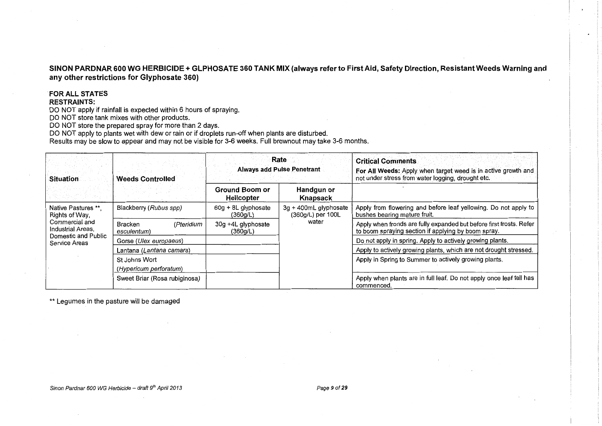#### SINON PARDNAR 600 WG HERBICIDE+ GLPHOSATE 360 TANK MIX (always refer to First Aid, Safety Direction, Resistant Weeds Warning and any other restrictions for Glyphosate 360)

#### FOR ALL STATES

#### RESTRAINTS:

DO NOT apply if rainfall is expected within 6 hours of spraying.

DO NOT store tank mixes with other products.

DO NOT store the prepared spray for more than 2 days.

DO NOT apply to plants wet with dew or rain or if droplets run-off when plants are disturbed.

Results may be slow to appear and may not be visible for 3-6 weeks. Full brownout may take 3-6 months.

| Situation                                                                    | <b>Weeds Controlled</b>                     |                                 | Rate<br><b>Always add Pulse Penetrant</b>  | <b>Critical Comments</b><br>For All Weeds: Apply when target weed is in active growth and<br>not under stress from water logging, drought etc. |
|------------------------------------------------------------------------------|---------------------------------------------|---------------------------------|--------------------------------------------|------------------------------------------------------------------------------------------------------------------------------------------------|
|                                                                              |                                             |                                 | Handgun or<br>Knapsack                     |                                                                                                                                                |
| Native Pastures **.<br>Rights of Way,<br>Commercial and<br>Industrial Areas. | Blackberry (Rubus spp)                      | 60g + 8L glyphosate<br>(360g/L) | 3g + 400mL glyphosate<br>(360g/L) per 100L | Apply from flowering and before leaf yellowing. Do not apply to<br>bushes bearing mature fruit.                                                |
|                                                                              | (Pteridium<br><b>Bracken</b><br>esculentum) | 30g +4L glyphosate<br>(360g/L)  | water                                      | Apply when fronds are fully expanded but before first frosts. Refer<br>to boom spraying section if applying by boom spray.                     |
| Domestic and Public<br>Service Areas                                         | Gorse (Ulex europaeus)                      |                                 |                                            | Do not apply in spring. Apply to actively growing plants.                                                                                      |
|                                                                              | Lantana (Lantana camara)                    |                                 |                                            | Apply to actively growing plants, which are not drought stressed.                                                                              |
|                                                                              | St Johns Wort                               |                                 |                                            | Apply in Spring to Summer to actively growing plants.                                                                                          |
|                                                                              | (Hypericum perforatum)                      |                                 |                                            |                                                                                                                                                |
|                                                                              | Sweet Briar (Rosa rubiginosa)               |                                 |                                            | Apply when plants are in full leaf. Do not apply once leaf fall has<br>commenced.                                                              |

\*\* Legumes in the pasture will be damaged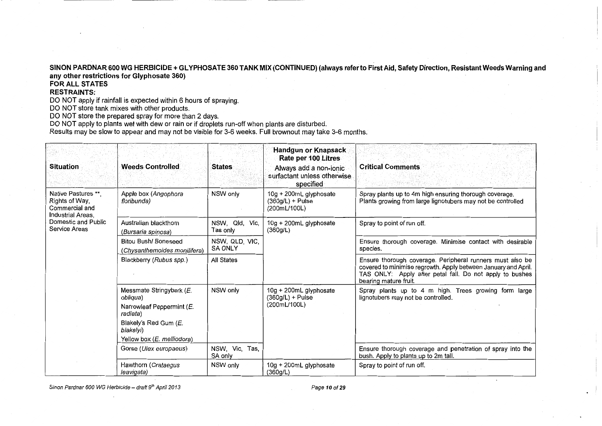#### SINON PARDNAR 600 WG HERBICIDE + GLYPHOSATE 360 TANK MIX (CONTINUED) (always refer to First Aid, Safety Direction, Resistant Weeds Warning and any other restrictions for Glyphosate 360)

FOR ALL STATES

#### RESTRAINTS:

DO NOT apply if rainfall is expected within 6 hours of spraying.

DO NOT store tank mixes with other products.

DO NOT store the prepared spray for more than 2 days.

DO NOT apply to plants wet with dew or rain or if droplets run-off when plants are disturbed.

Results may be slow to appear and may not be visible for 3-6 weeks. Full brownout may take 3-6 months.

| <b>Situation</b>                                                                                                     | <b>Weeds Controlled</b>                                                                                                                           | States                           | <b>Handgun or Knapsack</b><br>Rate per 100 Litres<br>Always add a non-ionic<br>surfactant unless otherwise.<br>specified | <b>Critical Comments</b>                                                                                                                                                                                         |  |
|----------------------------------------------------------------------------------------------------------------------|---------------------------------------------------------------------------------------------------------------------------------------------------|----------------------------------|--------------------------------------------------------------------------------------------------------------------------|------------------------------------------------------------------------------------------------------------------------------------------------------------------------------------------------------------------|--|
| Native Pastures **.<br>Rights of Way,<br>Commercial and<br>Industrial Areas,<br>Domestic and Public<br>Service Areas | Apple box (Angophora<br>floribunda)                                                                                                               | NSW only                         | 10g + 200mL glyphosate<br>$(360q/L) +$ Pulse<br>(200mL/100L)                                                             | Spray plants up to 4m high ensuring thorough coverage.<br>Plants growing from large lignotubers may not be controlled                                                                                            |  |
|                                                                                                                      | Australian blackthorn<br>(Bursaria spinosa)                                                                                                       | NSW, Qld, Vic,<br>Tas only       | 10g + 200mL glyphosate<br>(360g/L)                                                                                       | Spray to point of run off.                                                                                                                                                                                       |  |
|                                                                                                                      | <b>Bitou Bush/ Boneseed</b><br>(Chysanthemoides monilifera)                                                                                       | NSW. QLD. VIC.<br><b>SA ONLY</b> |                                                                                                                          | Ensure thorough coverage. Minimise contact with desirable<br>species.                                                                                                                                            |  |
|                                                                                                                      | Blackberry (Rubus spp.)                                                                                                                           | <b>All States</b>                |                                                                                                                          | Ensure thorough coverage. Peripheral runners must also be<br>covered to minimise regrowth. Apply between January and April.<br>TAS ONLY: Apply after petal fall. Do not apply to bushes<br>bearing mature fruit. |  |
|                                                                                                                      | Messmate Stringybark (E.<br>obliqua)<br>Narrowleaf Peppermint (E.<br>radiata)<br>Blakely's Red Gum (E.<br>blakelyi)<br>Yellow box (E. melliodora) | NSW only                         | 10g + 200mL glyphosate<br>$(360g/L) +$ Pulse<br>(200mL/100L)                                                             | Spray plants up to 4 m high. Trees growing form large<br>lignotubers may not be controlled.                                                                                                                      |  |
|                                                                                                                      | Gorse ( <i>Ulex europaeus</i> )                                                                                                                   | NSW, Vic, Tas,<br>SA only        |                                                                                                                          | Ensure thorough coverage and penetration of spray into the<br>bush. Apply to plants up to 2m tall.                                                                                                               |  |
|                                                                                                                      | Hawthorn (Crataegus<br>leavigata)                                                                                                                 | NSW only                         | 10g + 200mL glyphosate<br>(360g/L)                                                                                       | Spray to point of run off.                                                                                                                                                                                       |  |

Sinon Pardnar 600 WG Herbicide - draft *gth* April 2013 Page 10 of29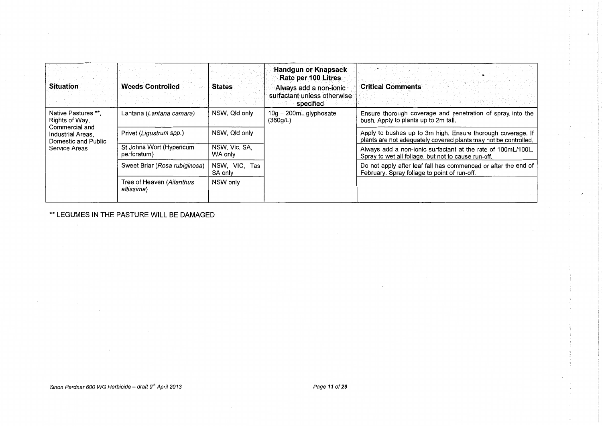| Situation                                                                                           | <b>Weeds Controlled</b>                 | <b>States</b>               | <b>Handgun or Knapsack</b><br>Rate per 100 Litres<br>Always add a non-ionic<br>surfactant unless otherwise<br>specified | <b>Critical Comments</b>                                                                                                       |
|-----------------------------------------------------------------------------------------------------|-----------------------------------------|-----------------------------|-------------------------------------------------------------------------------------------------------------------------|--------------------------------------------------------------------------------------------------------------------------------|
| Native Pastures **.<br>Rights of Way,<br>Commercial and<br>Industrial Areas.<br>Domestic and Public | Lantana (Lantana camara)                | NSW, Qld only               | 10g + 200mL glyphosate<br>(360g/L)                                                                                      | Ensure thorough coverage and penetration of spray into the<br>bush. Apply to plants up to 2m tall.                             |
|                                                                                                     | Privet (Ligustrum spp.)                 | NSW, Qld only               |                                                                                                                         | Apply to bushes up to 3m high. Ensure thorough coverage. If<br>plants are not adequately covered plants may not be controlled. |
| Service Areas                                                                                       | St Johns Wort (Hypericum<br>perforatum) | NSW, Vic, SA,<br>WA only    |                                                                                                                         | Always add a non-ionic surfactant at the rate of 100mL/100L.<br>Spray to wet all foliage, but not to cause run-off.            |
|                                                                                                     | Sweet Briar (Rosa rubiginosa)           | NSW, VIC,<br>Tas<br>SA only |                                                                                                                         | Do not apply after leaf fall has commenced or after the end of<br>February. Spray foliage to point of run-off.                 |
|                                                                                                     | Tree of Heaven (Ailanthus<br>altissima) | NSW only                    |                                                                                                                         |                                                                                                                                |

 $\mathbb{Z}^2$ 

\*\* LEGUMES IN THE PASTURE WILL BE DAMAGED

 $\sim$ 

Sinon Pardnar 600 WG Herbicide - draft 9<sup>th</sup> April 2013 **Page 11 of 29** Page 11 of 29

 $\sim$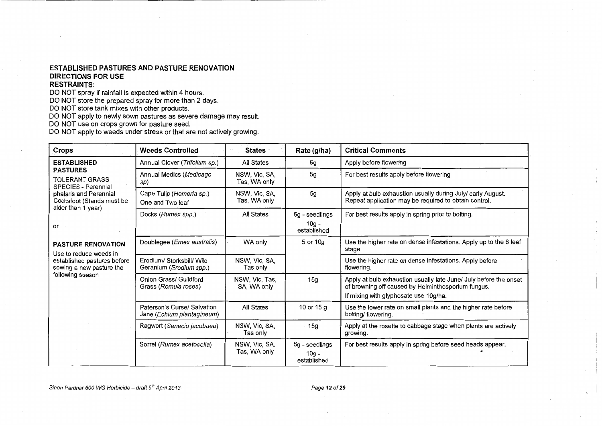#### **ESTABLISHED PASTURES AND PASTURE RENOVATION DIRECTIONS FOR USE**

#### **RESTRAINTS:**

DO NOT spray if rainfall is expected within 4 hours.

DO NOT store the prepared spray for more than 2 days.

DO NOT store tank mixes with other products.

DO NOT apply to newly sown pastures as severe damage may result.

DO NOT use on crops grown for pasture seed.

DO NOT apply to weeds under stress or that are not actively growing.

| Crops                                                                     | <b>Weeds Controlled</b>                                       | <b>States</b>                 | Rate (g/ha)                              | <b>Critical Comments</b>                                                                                                                                         |
|---------------------------------------------------------------------------|---------------------------------------------------------------|-------------------------------|------------------------------------------|------------------------------------------------------------------------------------------------------------------------------------------------------------------|
| <b>ESTABLISHED</b>                                                        | Annual Clover (Trifolium sp.)                                 | All States                    | 5g                                       | Apply before flowering                                                                                                                                           |
| <b>PASTURES</b><br><b>TOLERANT GRASS</b><br><b>SPECIES - Perennial</b>    | Annual Medics (Medicago<br>sp)                                | NSW, Vic, SA,<br>Tas, WA only | 5g                                       | For best results apply before flowering                                                                                                                          |
| phalaris and Perennial<br>Cocksfoot (Stands must be<br>older than 1 year) | Cape Tulip (Homeria sp.)<br>One and Two leaf                  | NSW, Vic, SA,<br>Tas, WA only | 5g                                       | Apply at bulb exhaustion usually during July/ early August.<br>Repeat application may be required to obtain control.                                             |
|                                                                           | Docks (Rumex spp.)                                            | All States                    | 5g - seedlings<br>$10q -$                | For best results apply in spring prior to bolting.                                                                                                               |
| or                                                                        |                                                               |                               | established                              |                                                                                                                                                                  |
| <b>PASTURE RENOVATION</b><br>Use to reduce weeds in                       | Doublegee ( <i>Emex australis</i> )                           | WA only                       | 5 or 10g                                 | Use the higher rate on dense infestations. Apply up to the 6 leaf<br>stage.                                                                                      |
| established pastures before<br>sowing a new pasture the                   | Erodium/ Storksbill/ Wild<br>Geranium ( <i>Erodium spp.</i> ) | NSW, Vic, SA,<br>Tas only     |                                          | Use the higher rate on dense infestations. Apply before<br>flowering.                                                                                            |
| following season                                                          | Onion Grass/ Guildford<br>Grass (Romula rosea)                | NSW, Vic, Tas,<br>SA, WA only | 15g                                      | Apply at bulb exhaustion usually late June/ July before the onset<br>of browning off caused by Helminthosporium fungus.<br>If mixing with glyphosate use 10g/ha. |
|                                                                           | Paterson's Curse/ Salvation<br>Jane (Echium plantagineum)     | <b>All States</b>             | 10 or 15 g                               | Use the lower rate on small plants and the higher rate before<br>bolting/flowering.                                                                              |
|                                                                           | Ragwort (Senecio jacobaea)                                    | NSW, Vic, SA,<br>Tas only     | 15g                                      | Apply at the rosette to cabbage stage when plants are actively<br>growing.                                                                                       |
|                                                                           | Sorrel (Rumex acetosella)                                     | NSW, Vic, SA,<br>Tas, WA only | 5g - seedlings<br>$10g -$<br>established | For best results apply in spring before seed heads appear.                                                                                                       |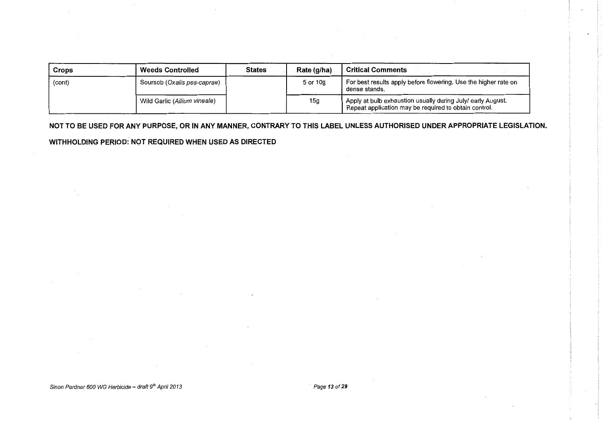| Crops  | <b>Weeds Controlled</b>      | <b>States</b> | Rate (g/ha) | <b>Critical Comments</b>                                                                                             |
|--------|------------------------------|---------------|-------------|----------------------------------------------------------------------------------------------------------------------|
| (cont) | Soursob (Oxalis pes-caprae)  |               | 5 or 10g    | For best results apply before flowering. Use the higher rate on<br>dense stands.                                     |
|        | Wild Garlic (Allium vineale) |               | 15g         | Apply at bulb exhaustion usually during July/ early August.<br>Repeat application may be required to obtain control. |

**NOT TO BE USED FOR ANY PURPOSE, OR IN ANY MANNER, CONTRARY TO THIS LABEL UNLESS AUTHORISED UNDER APPROPRIATE LEGISLATION. WITHHOLDING PERIOD: NOT REQUIRED WHEN USED AS DIRECTED**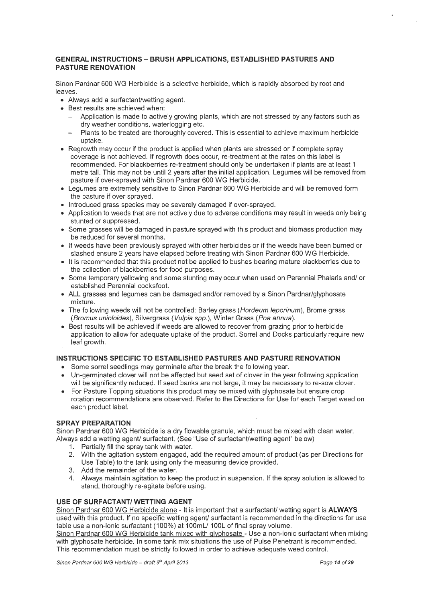#### **GENERAL INSTRUCTIONS- BRUSH APPLICATIONS, ESTABLISHED PASTURES AND PASTURE RENOVATION**

Sinon Pardnar 600 WG Herbicide is a selective herbicide, which is rapidly absorbed by root and leaves.

- Always add a surfactant/wetting agent.
- Best results are achieved when:
	- Application is made to actively growing plants, which are not stressed by any factors such as dry weather conditions, waterlogging etc.
	- Plants to be treated are thoroughly covered. This is essential to achieve maximum herbicide uptake.
- Regrowth may occur if the product is applied when plants are stressed or if complete spray coverage is not achieved. If regrowth does occur, re-treatment at the rates on this label is recommended. For blackberries re-treatment should only be undertaken if plants are at least 1 metre tall. This may not be until 2 years after the initial application. Legumes will be removed from pasture if over-sprayed with Sinon Pardnar 600 WG Herbicide.
- Legumes are extremely sensitive to Sinon Pardnar 600 WG Herbicide and will be removed form the pasture if over sprayed.
- Introduced grass species may be severely damaged if over-sprayed.
- Application to weeds that are not actively due to adverse conditions may result in weeds only being stunted or suppressed.
- Some grasses will be damaged in pasture sprayed with this product and biomass production may be reduced for several months.
- If weeds have been previously sprayed with other herbicides or if the weeds have been burned or slashed ensure 2 years have elapsed before treating with Sinon Pardnar 600 WG Herbicide.
- It is recommended that this product not be applied to bushes bearing mature blackberries due to the collection of blackberries for food purposes.
- Some temporary yellowing and some stunting may occur when used on Perennial Phalaris and/ or established Perennial cocksfoot.
- ALL grasses and legumes can be damaged and/or removed by a Sinon Pardnar/glyphosate mixture.
- The following weeds will not be controlled: Barley grass (Hordeum leporinum), Brome grass (Bromus unioloides), Silvergrass (Vulpia spp.), Winter Grass (Poa annua).
- Best results will be achieved if weeds are allowed to recover from grazing prior to herbicide application to allow for adequate uptake of the product. Sorrel and Docks particularly require new leaf growth.

#### **INSTRUCTIONS SPECIFIC TO ESTABLISHED PASTURES AND PASTURE RENOVATION**

- Some sorrel seedlings may germinate after the break the following year.
- Un-germinated clover will not be affected but seed set of clover in the year following application will be significantly reduced. If seed banks are not large, it may be necessary to re-sow clover.
- For Pasture Topping situations this product may be mixed with glyphosate but ensure crop rotation recommendations are observed. Refer to the Directions for Use for each Target weed on each product label.

#### **SPRAY PREPARATION**

Sinon Pardnar 600 WG Herbicide is a dry flowable granule, which must be mixed with clean water. Always add a wetting agent/ surfactant. (See "Use of surfactant/wetting agent" below)

- 1. Partially fill the spray tank with water.
- 2. With the agitation system engaged, add the required amount of product (as per Directions for Use Table) to the tank using only the measuring device provided.
- 3. Add the remainder of the water.
- 4. Always maintain agitation to keep the product in suspension. If the spray solution is allowed to stand, thoroughly re-agitate before using.

#### **USE OF SURFACTANT/ WETTING AGENT**

Sinon Pardnar 600 WG Herbicide alone - It is important that a surfactant/ wetting agent is **ALWAYS** used with this product. If no specific wetting agent/ surfactant is recommended in the directions for use table use a non-ionic surfactant ( 100%) at 1OOm L/1 OOL of final spray volume.

Sinon Pardnar 600 WG Herbicide tank mixed with qlyphosate- Use a non-ionic surfactant when mixing with glyphosate herbicide. In some tank mix situations the use of Pulse Penetrant is recommended. This recommendation must be strictly followed in order to achieve adequate weed control.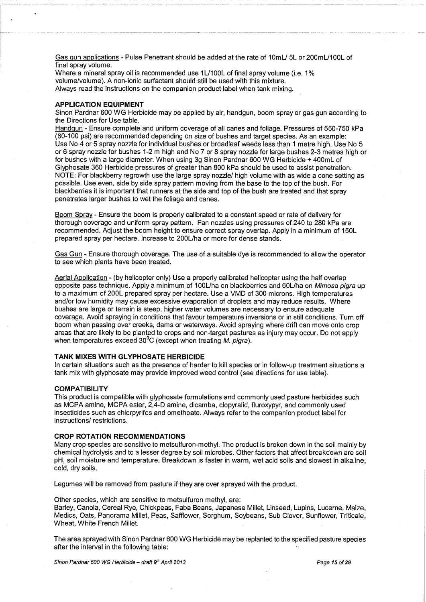Gas gun applications - Pulse Penetrant should be added at the rate of 10mL/ 5L or 200mL/100L of final spray volume.

Where a mineral spray oil is recommended use 1L/100L of final spray volume (i.e. 1% volume/volume). A non-ionic surfactant should still be used with this mixture. Always read the instructions on the companion product label when tank mixing.

#### **APPLICATION EQUIPMENT**

Sinon Pardnar 600 WG Herbicide may be applied by air, handgun, boom spray or gas gun according to the Directions for Use table.

Handgun- Ensure complete and uniform coverage of all canes and foliage. Pressures of 550-750 kPa (80-100 psi) are recommended depending on size of bushes and target species. As an example: Use No 4 or 5 spray nozzle for individual bushes or broadleaf weeds less than 1 metre high. Use No 5 or 6 spray nozzle for bushes 1-2 m high and No 7 or 8 spray nozzle for large bushes 2-3 metres high or for bushes with a large diameter. When using 3g Sinon Pardnar 600 WG Herbicide + 400mL of Glyphosate 360 Herbicide pressures of greater than 800 kPa should be used to assist penetration. NOTE: For blackberry regrowth use the large spray nozzle/ high volume with as wide a cone setting as possible. Use even, side by side spray pattern moving from the base to the top of the bush. For blackberries it is important that runners at the side and top of the bush are treated and that spray penetrates larger bushes to wet the foliage and canes.

Boom Spray- Ensure the boom is properly calibrated to a constant speed or rate of delivery for thorough coverage and uniform spray pattern. Fan nozzles using pressures of 240 to 280 kPa are recommended. Adjust the boom height to ensure correct spray overlap. Apply in a minimum of 150L prepared spray per hectare. Increase to 200L/ha or more for dense stands.

Gas Gun - Ensure thorough coverage. The use of a suitable dye is recommended to allow the operator to see which plants have been treated.

Aerial Application - (by helicopter only) Use a properly calibrated helicopter using the half overlap opposite pass technique. Apply a minimum of 100L/ha on blackberries and 60L/ha on Mimosa pigra up to a maximum of 200L prepared spray per hectare. Use a VMD of 300 microns. High temperatures and/or low humidity may cause excessive evaporation of droplets and may reduce results. Where bushes are large or terrain is steep, higher water volumes are necessary to ensure adequate coverage. Avoid spraying in conditions that favour temperature inversions or in still conditions. Turn off boom when passing over creeks, dams or waterways. Avoid spraying where drift can move onto crop areas that are likely to be planted to crops and non-target pastures as injury may occur. Do not apply when temperatures exceed  $30^0C$  (except when treating M. pigra).

#### **TANK MIXES WITH GLYPHOSATE HERBICIDE**

In certain situations such as the presence of harder to kill species or in follow-up treatment situations a tank mix with glyphosate may provide improved weed control (see directions for use table).

#### **COMPATIBILITY**

This product is compatible with glyphosate formulations and commonly used pasture herbicides such as MCPA amine, MCPA ester, 2,4-D amine, dicamba, clopyralid, fluroxypyr, and commonly used insecticides such as chlorpyrifos and omethoate. Always refer to the companion product label for instructions/ restrictions.

#### **CROP ROTATION RECOMMENDATIONS**

Many crop species are sensitive to metsulfuron-methyl. The product is broken down in the soil mainly by chemical hydrolysis and to a lesser degree by soil microbes. Other factors that affect breakdown are soil pH, soil moisture and temperature. Breakdown is faster in warm, wet acid soils and slowest in alkaline, cold, dry soils.

Legumes will be removed from pasture if they are over sprayed with the product.

Other species, which are sensitive to metsulfuron methyl, are:

Barley, Canola, Cereal Rye, Chickpeas, Faba Beans, Japanese Millet, Linseed, Lupins, Lucerne, Maize, Medics, Oats, Panorama Millet, Peas, Safflower, Sorghum, Soybeans, Sub Clover, Sunflower, Triticale, Wheat, White French Millet.

The area sprayed with Sinon Pardnar 600 WG Herbicide may be replanted to the specified pasture species after the interval in the following table: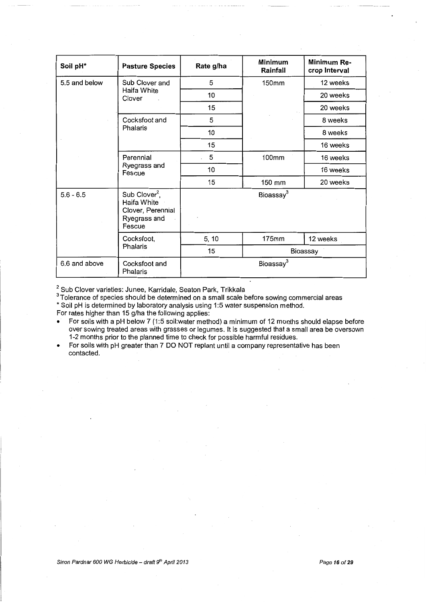| Soil pH*      | <b>Pasture Species</b>                                                                  | Rate g/ha             | <b>Minimum</b><br>Rainfall | Minimum Re-<br>crop Interval |  |  |
|---------------|-----------------------------------------------------------------------------------------|-----------------------|----------------------------|------------------------------|--|--|
| 5.5 and below | Sub Clover and                                                                          | 5                     | 150mm                      | 12 weeks                     |  |  |
|               | Haifa White<br>Clover<br>$\sim$                                                         | 10                    |                            | 20 weeks                     |  |  |
|               |                                                                                         | 15                    |                            | 20 weeks                     |  |  |
|               | Cocksfoot and                                                                           | 5                     |                            | 8 weeks                      |  |  |
|               | Phalaris                                                                                | 10                    |                            | 8 weeks                      |  |  |
|               |                                                                                         | 15                    |                            | 16 weeks                     |  |  |
|               | Perennial<br>Ryegrass and<br>Fescue                                                     | 5                     | 100mm                      | 16 weeks                     |  |  |
|               |                                                                                         | 10                    |                            | 16 weeks                     |  |  |
|               |                                                                                         | 15                    | 150 mm                     | 20 weeks                     |  |  |
| $5.6 - 6.5$   | Sub Clover <sup>2</sup> ,<br>Haifa White<br>Clover, Perennial<br>Ryegrass and<br>Fescue |                       | Bioassay <sup>3</sup>      |                              |  |  |
|               | Cocksfoot,                                                                              | 5, 10                 | 175mm                      | 12 weeks                     |  |  |
|               | Phalaris                                                                                | 15<br>Bioassay        |                            |                              |  |  |
| 6.6 and above | Cocksfoot and<br>Phalaris                                                               | Bioassay <sup>3</sup> |                            |                              |  |  |

 $2^2$  Sub Clover varieties: Junee, Karridale, Seaton Park, Trikkala

 $^3$ Tolerance of species should be determined on a small scale before sowing commercial areas \*Soil pH is determined by laboratory analysis using 1:5 water suspension method.

For rates higher than 15 g/ha the following applies:

• For soils with a pH below 7 (1:5 soil:water method) a minimum of 12 months should elapse before over sowing treated areas with grasses or legumes. It is suggested that a small area be oversown 1-2 months prior to the planned time to check for possible harmful residues.

• For soils with pH greater than 7 DO NOT replant until a company representative has been contacted.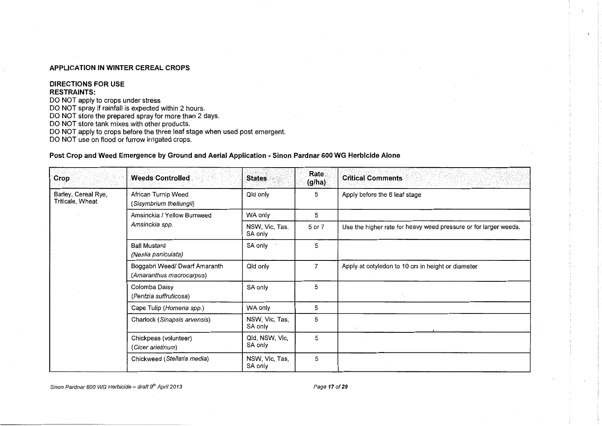#### **APPLICATION IN WINTER CEREAL CROPS**

#### **DIRECTIONS FOR USE RESTRAINTS:**

DO NOT apply to crops under stress

DO NOT spray if rainfall is expected within 2 hours.

DO NOT store the prepared spray for more than 2 days.

DO NOT store tank mixes with other products.

DO NOT apply to crops before the three leaf stage when used post emergent.

DO NOT use on flood or furrow irrigated crops.

#### **Post Crop and Weed Emergence by Ground and Aerial Application -Sinon Pardnar 600 WG Herbicide Alone**

| Crop                                    | <b>Weeds Controlled</b>                                   | <b>States</b>             | Rate<br>(g/ha) | <b>Critical Comments</b><br>13 <i>. 45. 21. 22.</i>              |
|-----------------------------------------|-----------------------------------------------------------|---------------------------|----------------|------------------------------------------------------------------|
| Barley, Cereal Rye,<br>Triticale, Wheat | African Turnip Weed<br>(Sisymbrium thellungii)            | Qld only                  | 5              | Apply before the 6 leaf stage                                    |
|                                         | Amsinckia / Yellow Burrweed                               | WA only                   | 5              |                                                                  |
|                                         | Amsinckia spp.                                            | NSW, Vic, Tas,<br>SA only | 5 or 7         | Use the higher rate for heavy weed pressure or for larger weeds. |
|                                         | <b>Ball Mustard</b><br>(Neslia paniculata)                | SA only                   | 5              |                                                                  |
|                                         | Boggabri Weed/ Dwarf Amaranth<br>(Amaranthus macrocarpus) | Qld only                  | 7              | Apply at cotyledon to 10 cm in height or diameter                |
|                                         | Colomba Daisy<br>(Pentzia suffruticosa)                   | SA only                   | 5              |                                                                  |
|                                         | Cape Tulip (Homeria spp.)                                 | WA only                   | 5              |                                                                  |
|                                         | Charlock (Sinapsis arvensis)                              | NSW, Vic, Tas,<br>SA only | 5              |                                                                  |
|                                         | Chickpeas (volunteer)<br>(Cicer arietinum)                | Qld, NSW, Vic,<br>SA only | 5              |                                                                  |
|                                         | Chickweed (Stellaria media)                               | NSW, Vic, Tas,<br>SA only | 5              |                                                                  |

Sinon Pardnar 600 WG Herbicide – draft 9<sup>th</sup> April 2013 **Page 17 of 29** Page 17 of 29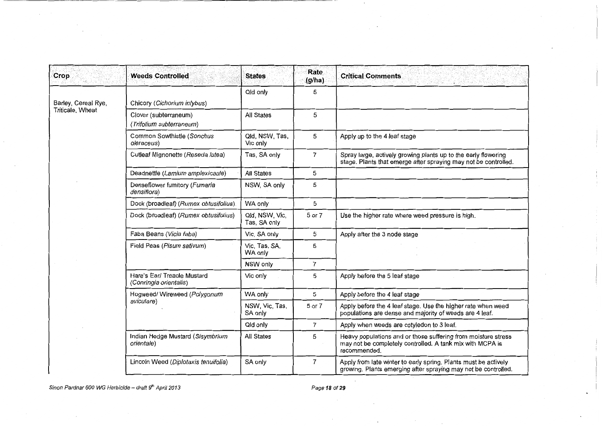| Crop                | <b>Weeds Controlled</b>                               | <b>States</b>                  | Rate<br>(g/ha) | <b>Critical Comments</b>                                                                                                                   |
|---------------------|-------------------------------------------------------|--------------------------------|----------------|--------------------------------------------------------------------------------------------------------------------------------------------|
| Barley, Cereal Rye, | Chicory (Cichorium intybus)                           | Qld only                       | 5              |                                                                                                                                            |
| Triticale, Wheat    | Clover (subterraneum)<br>(Trifolium subterraneum)     | <b>All States</b>              | 5              |                                                                                                                                            |
|                     | Common Sowthistle (Sonchus<br>oleraceus)              | Qld, NSW, Tas,<br>Vic only     | 5              | Apply up to the 4 leaf stage                                                                                                               |
|                     | Cutleaf Mignonette (Reseda lutea)                     | Tas, SA only                   | $\overline{7}$ | Spray large, actively growing plants up to the early flowering<br>stage. Plants that emerge after spraying may not be controlled.          |
|                     | Deadnettle (Lamium amplexicaule)                      | <b>All States</b>              | 5              |                                                                                                                                            |
|                     | Denseflower fumitory (Fumaria<br>densiflora)          | NSW, SA only                   | 5              |                                                                                                                                            |
|                     | Dock (broadleaf) (Rumex obtusifolius)                 | WA only                        | 5              |                                                                                                                                            |
|                     | Dock (broadleaf) (Rumex obtusifolius)                 | Qld, NSW, Vic,<br>Tas, SA only | 5 or 7         | Use the higher rate where weed pressure is high.                                                                                           |
|                     | Faba Beans (Vicia faba)                               | Vic, SA only                   | 5              | Apply after the 3 node stage                                                                                                               |
|                     | Field Peas (Pisum sativum)                            | Vic, Tas, SA,<br>WA only       | 5              |                                                                                                                                            |
|                     |                                                       | NSW only                       | $\overline{7}$ |                                                                                                                                            |
|                     | Hare's Ear/ Treacle Mustard<br>(Conringia orientalis) | Vic only                       | 5              | Apply before the 5 leaf stage                                                                                                              |
|                     | Hogweed/ Wireweed (Polygonum                          | WA only                        | 5              | Apply before the 4 leaf stage                                                                                                              |
|                     | aviculare)                                            | NSW, Vic, Tas,<br>SA only      | 5 or 7         | Apply before the 4 leaf stage. Use the higher rate when weed<br>populations are dense and majority of weeds are 4 leaf.                    |
|                     |                                                       | Qld only                       | $\overline{7}$ | Apply when weeds are cotyledon to 3 leaf.                                                                                                  |
|                     | Indian Hedge Mustard (Sisymbrium<br>orientale)        | All States                     | 5              | Heavy populations and or those suffering from moisture stress<br>may not be completely controlled. A tank mix with MCPA is<br>recommended. |
|                     | Lincoln Weed (Diplotaxis tenuifolia)                  | SA only                        | $\overline{7}$ | Apply from late winter to early spring. Plants must be actively<br>growing. Plants emerging after spraying may not be controlled.          |

Sinon Pardnar 600 WG Herbicide – draft 9<sup>th</sup> April 2013 **Page 18** of 29

 $\sim$ 

 $\sim$   $\sim$ 

 $\ddot{\phantom{a}}$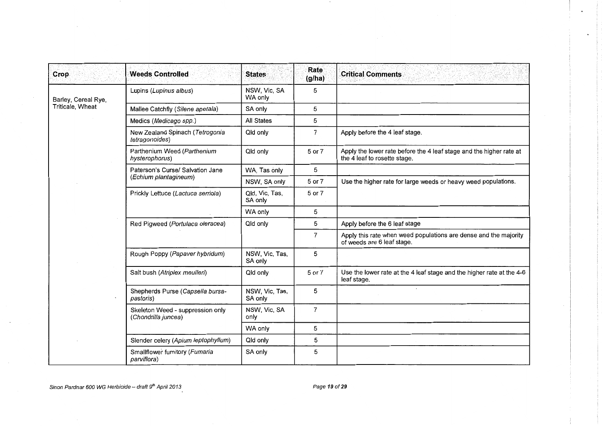| <b>Crop</b>         | <b>Weeds Controlled</b>                                 | <b>States</b>             | Rate<br>(g/ha) | <b>Critical Comments</b>                                                                            |
|---------------------|---------------------------------------------------------|---------------------------|----------------|-----------------------------------------------------------------------------------------------------|
| Barley, Cereal Rye, | Lupins (Lupinus albus)                                  | NSW, Vic, SA<br>WA only   | 5              |                                                                                                     |
| Triticale, Wheat    | Mallee Catchfly (Silene apetala)                        | SA only                   | 5              |                                                                                                     |
|                     | Medics (Medicago spp.)                                  | <b>All States</b>         | 5              |                                                                                                     |
|                     | New Zealand Spinach (Tetrogonia<br>tetragonoides)       | Qld only                  | $\overline{7}$ | Apply before the 4 leaf stage.                                                                      |
|                     | Parthenium Weed (Parthenium<br>hysterophorus)           | Qld only                  | 5 or 7         | Apply the lower rate before the 4 leaf stage and the higher rate at<br>the 4 leaf to rosette stage. |
|                     | Paterson's Curse/ Salvation Jane                        | WA, Tas only              | 5              |                                                                                                     |
|                     | (Echium plantagineum)                                   | NSW, SA only              | 5 or 7         | Use the higher rate for large weeds or heavy weed populations.                                      |
|                     | Prickly Lettuce (Lactuca serriola)                      | Qld, Vic, Tas,<br>SA only | 5 or 7         |                                                                                                     |
|                     |                                                         | WA only                   | 5              |                                                                                                     |
|                     | Red Pigweed (Portulaca oleracea)                        | Qld only                  | 5              | Apply before the 6 leaf stage                                                                       |
|                     |                                                         |                           | $\overline{7}$ | Apply this rate when weed populations are dense and the majority<br>of weeds are 6 leaf stage.      |
|                     | Rough Poppy (Papaver hybridum)                          | NSW, Vic, Tas,<br>SA only | 5              |                                                                                                     |
|                     | Salt bush (Atriplex meulleri)                           | Qld only                  | 5 or 7         | Use the lower rate at the 4 leaf stage and the higher rate at the 4-6<br>leaf stage.                |
|                     | Shepherds Purse (Capsella bursa-<br>pastoris)           | NSW, Vic, Tas,<br>SA only | 5              |                                                                                                     |
|                     | Skeleton Weed - suppression only<br>(Chondrilla juncea) | NSW, Vic, SA<br>only      | $\overline{7}$ |                                                                                                     |
|                     |                                                         | WA only                   | 5              |                                                                                                     |
|                     | Slender celery (Apium leptophyllum)                     | Qld only                  | 5              |                                                                                                     |
|                     | Smallflower fumitory (Fumaria<br>parviflora)            | SA only                   | 5              |                                                                                                     |

 $\ddot{\phantom{a}}$ 

 $\ddot{\phantom{a}}$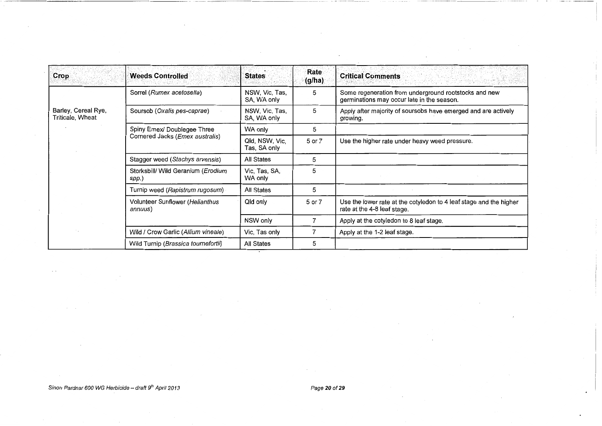| Crop                                    | <b>Weeds Controlled</b>                     | <b>States</b>                  | Rate<br>(g/ha): | <b>Critical Comments</b>                                                                            |
|-----------------------------------------|---------------------------------------------|--------------------------------|-----------------|-----------------------------------------------------------------------------------------------------|
|                                         | Sorrel (Rumex acetosella)                   | NSW, Vic, Tas,<br>SA, WA only  | 5               | Some regeneration from underground rootstocks and new<br>germinations may occur late in the season. |
| Barley, Cereal Rye,<br>Triticale, Wheat | Soursob (Oxalis pes-caprae)                 | NSW, Vic, Tas,<br>SA, WA only  | 5               | Apply after majority of soursobs have emerged and are actively<br>growing.                          |
|                                         | Spiny Emex/ Doublegee Three                 | WA only                        | 5               |                                                                                                     |
|                                         | Cornered Jacks (Emex australis)             | Qld, NSW, Vic,<br>Tas, SA only | 5 or 7          | Use the higher rate under heavy weed pressure.                                                      |
|                                         | Stagger weed (Stachys arvensis)             | All States                     | 5               |                                                                                                     |
|                                         | Storksbill/ Wild Geranium (Erodium<br>spp.) | Vic, Tas, SA,<br>WA only       | 5               |                                                                                                     |
|                                         | Turnip weed (Rapistrum rugosum)             | All States                     | 5               |                                                                                                     |
|                                         | Volunteer Sunflower (Helianthus<br>annuus)  | Qld only                       | 5 or 7          | Use the lower rate at the cotyledon to 4 leaf stage and the higher<br>rate at the 4-8 leaf stage.   |
|                                         |                                             | NSW only                       |                 | Apply at the cotyledon to 8 leaf stage.                                                             |
|                                         | Wild / Crow Garlic (Allium vineale)         | Vic, Tas only                  |                 | Apply at the 1-2 leaf stage.                                                                        |
|                                         | Wild Turnip (Brassica tournefortii)         | All States                     | 5               |                                                                                                     |

 $\overline{\phantom{a}}$ 

 $\ddot{\phantom{1}}$ 

 $\sim$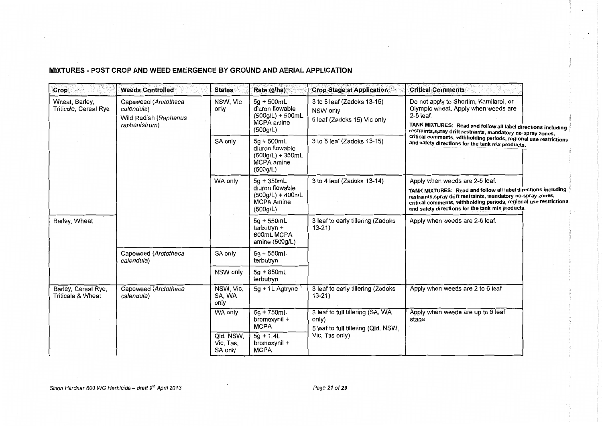MIXTURES- POST CROP AND WEED EMERGENCE BY GROUND AND AERIAL APPLICATION

| Crop                                     | <b>Weeds Controlled</b>                                                      | <b>States</b>                     | Rate (g/ha)                                                                            | <b>Crop Stage at Application</b>                                                 | <b>Critical Comments</b>                                                                                                                                                                                                                                |  |
|------------------------------------------|------------------------------------------------------------------------------|-----------------------------------|----------------------------------------------------------------------------------------|----------------------------------------------------------------------------------|---------------------------------------------------------------------------------------------------------------------------------------------------------------------------------------------------------------------------------------------------------|--|
| Wheat, Barley,<br>Triticale, Cereal Rye  | Capeweed (Arctotheca<br>calendula)<br>Wild Radish (Raphanus<br>raphanistrum) | NSW, Vic<br>only                  | $5g + 500mL$<br>diuron flowable<br>$(500g/L) + 500mL$<br><b>MCPA</b> amine<br>(500g/L) | 3 to 5 leaf (Zadoks 13-15)<br>NSW only<br>5 leaf (Zadoks 15) Vic only            | Do not apply to Shortim, Kamilaroi, or<br>Olympic wheat. Apply when weeds are<br>2-5 leaf.<br>TANK MIXTURES: Read and follow all label directions including<br>restraints, spray drift restraints, mandatory no-spray zones,                            |  |
|                                          | SA only                                                                      |                                   | $5g + 500mL$<br>diuron flowable<br>$(500g/L) + 350mL$<br><b>MCPA</b> amine<br>(500g/L) | 3 to 5 leaf (Zadoks 13-15)                                                       | critical comments, withholding periods, regional use restrictions<br>and safety directions for the tank mix products.                                                                                                                                   |  |
|                                          |                                                                              | WA only                           | $5q + 350mL$                                                                           | 3 to 4 leaf (Zadoks 13-14)                                                       | Apply when weeds are 2-5 leaf.                                                                                                                                                                                                                          |  |
|                                          |                                                                              |                                   | diuron flowable<br>$(500q/L) + 400mL$<br><b>MCPA Amine</b><br>(500g/L)                 |                                                                                  | TANK MIXTURES: Read and follow all label directions including<br>restraints, spray drift restraints, mandatory no-spray zones,<br>critical comments, withholding periods, regional use restrictions<br>and safety directions for the tank mix products. |  |
| Barley, Wheat                            |                                                                              |                                   | $5g + 550mL$<br>terbutryn +<br>600mL MCPA<br>amine (500g/L)                            | 3 leaf to early tillering (Zadoks<br>$13 - 21$                                   | Apply when weeds are 2-6 leaf.                                                                                                                                                                                                                          |  |
|                                          | Capeweed (Arctotheca<br>calendula)                                           | SA only                           | $5g + 550mL$<br>terbutryn                                                              |                                                                                  |                                                                                                                                                                                                                                                         |  |
|                                          |                                                                              | NSW only                          | $5g + 850mL$<br>terbutryn                                                              |                                                                                  |                                                                                                                                                                                                                                                         |  |
| Barley, Cereal Rye,<br>Triticale & Wheat | Capeweed (Arctotheca<br>calendula)                                           | NSW, Vic,<br>SA, WA<br>only       | 5g + 1L Agtryne                                                                        | 3 leaf to early tillering (Zadoks<br>$13 - 21$                                   | Apply when weeds are 2 to 6 leaf                                                                                                                                                                                                                        |  |
|                                          |                                                                              | WA only                           | $5g + 750mL$<br>bromoxynil +<br><b>MCPA</b>                                            | 3 leaf to full tillering (SA, WA<br>only)<br>5 leaf to full tillering (Qld, NSW, | Apply when weeds are up to 6 leaf<br>stage                                                                                                                                                                                                              |  |
|                                          |                                                                              | Qld, NSW,<br>Vic, Tas,<br>SA only | $5q + 1.4L$<br>bromoxynil +<br><b>MCPA</b>                                             | Vic, Tas only)                                                                   |                                                                                                                                                                                                                                                         |  |

 $\sim$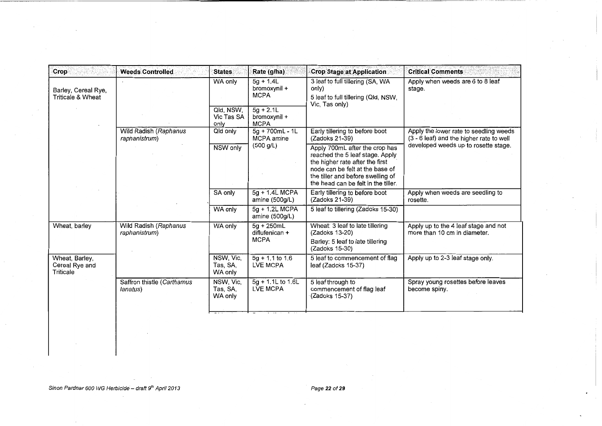| Crop                                          | <b>Weeds Controlled</b>                | <b>States</b>                    | Rate (g/ha)                                | <b>Crop Stage at Application</b>                                                                                                                                                                                    | <b>Critical Comments</b>                                                           |
|-----------------------------------------------|----------------------------------------|----------------------------------|--------------------------------------------|---------------------------------------------------------------------------------------------------------------------------------------------------------------------------------------------------------------------|------------------------------------------------------------------------------------|
| Barley, Cereal Rye,<br>Triticale & Wheat      |                                        | WA only                          | $5a + 1.4L$<br>bromoxynil +<br><b>MCPA</b> | 3 leaf to full tillering (SA, WA<br>only)<br>5 leaf to full tillering (Qld, NSW,<br>Vic, Tas only)                                                                                                                  | Apply when weeds are 6 to 8 leaf<br>stage.                                         |
|                                               |                                        | Qld, NSW,<br>Vic Tas SA<br>only  | $5g + 2.1L$<br>bromoxynil +<br><b>MCPA</b> |                                                                                                                                                                                                                     |                                                                                    |
|                                               | Wild Radish (Raphanus<br>raphanistrum) | Qld only                         | $5g + 700mL - 1L$<br>MCPA amine            | Early tillering to before boot<br>(Zadoks 21-39)                                                                                                                                                                    | Apply the lower rate to seedling weeds<br>(3 - 6 leaf) and the higher rate to well |
|                                               |                                        | NSW only                         | (500 g/L)                                  | Apply 700mL after the crop has<br>reached the 5 leaf stage. Apply<br>the higher rate after the first<br>node can be felt at the base of<br>the tiller and before swelling of<br>the head can be felt in the tiller. | developed weeds up to rosette stage.                                               |
|                                               |                                        | SA only                          | 5g + 1.4L MCPA<br>amine $(500g/L)$         | Early tillering to before boot<br>(Zadoks 21-39)                                                                                                                                                                    | Apply when weeds are seedling to<br>rosette.                                       |
|                                               |                                        | WA only                          | $5g + 1.2L$ MCPA<br>amine (500g/L)         | 5 leaf to tillering (Zadoks 15-30)                                                                                                                                                                                  |                                                                                    |
| Wheat, barley                                 | Wild Radish (Raphanus<br>raphanistrum) | WA only                          | $5g + 250mL$<br>diflufenican +             | Wheat: 3 leaf to late tillering<br>(Zadoks 13-20)                                                                                                                                                                   | Apply up to the 4 leaf stage and not<br>more than 10 cm in diameter.               |
|                                               |                                        |                                  | <b>MCPA</b>                                | Barley: 5 leaf to late tillering<br>(Zadoks 15-30)                                                                                                                                                                  |                                                                                    |
| Wheat, Barley,<br>Cereal Rye and<br>Triticale |                                        | NSW, Vic,<br>Tas, SA,<br>WA only | $5g + 1.1$ to 1.6<br><b>LVE MCPA</b>       | 5 leaf to commencement of flag<br>leaf (Zadoks 15-37)                                                                                                                                                               | Apply up to 2-3 leaf stage only.                                                   |
|                                               | Saffron thistle (Carthamus<br>lanatus) | NSW, Vic,<br>Tas, SA.<br>WA only | 5g + 1.1L to 1.6L<br><b>LVE MCPA</b>       | 5 leaf through to<br>commencement of flag leaf<br>(Zadoks 15-37)                                                                                                                                                    | Spray young rosettes before leaves<br>become spiny.                                |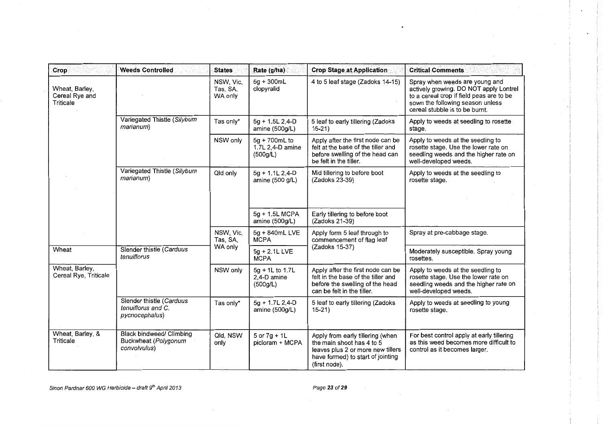| Crop                                          | <b>Weeds Controlled</b><br>: Sati                                       | <b>States</b>                    | Rate (g/ha)                                   | <b>Crop Stage at Application</b>                                                                                                                         | <b>Critical Comments</b>                                                                                                                                                                   |
|-----------------------------------------------|-------------------------------------------------------------------------|----------------------------------|-----------------------------------------------|----------------------------------------------------------------------------------------------------------------------------------------------------------|--------------------------------------------------------------------------------------------------------------------------------------------------------------------------------------------|
| Wheat, Barley,<br>Cereal Rye and<br>Triticale |                                                                         | NSW, Vic,<br>Tas, SA,<br>WA only | 5g + 300mL<br>clopyralid                      | 4 to 5 leaf stage (Zadoks 14-15)                                                                                                                         | Spray when weeds are young and<br>actively growing. DO NOT apply Lontrel<br>to a cereal crop if field peas are to be<br>sown the following season unless<br>cereal stubble is to be burnt. |
|                                               | Variegated Thistle (Silybum<br>marianum)                                | Tas only*                        | 5g + 1.5L 2,4-D<br>amine (500g/L)             | 5 leaf to early tillering (Zadoks<br>$15 - 21$                                                                                                           | Apply to weeds at seedling to rosette<br>stage.                                                                                                                                            |
|                                               |                                                                         | NSW only                         | 5g + 700mL to<br>1.7L 2.4-D amine<br>(500g/L) | Apply after the first node can be<br>felt at the base of the tiller and<br>before swelling of the head can<br>be felt in the tiller.                     | Apply to weeds at the seedling to<br>rosette stage. Use the lower rate on<br>seedling weeds and the higher rate on<br>well-developed weeds.                                                |
|                                               | Variegated Thistle (Silybum<br>marianum)                                | Qld only                         | 5g + 1.1L 2,4-D<br>amine (500 g/L)            | Mid tillering to before boot<br>(Zadoks 23-39)                                                                                                           | Apply to weeds at the seedling to<br>rosette stage.                                                                                                                                        |
|                                               |                                                                         |                                  | 5g + 1.5L MCPA<br>amine (500g/L)              | Early tillering to before boot<br>(Zadoks 21-39)                                                                                                         |                                                                                                                                                                                            |
|                                               |                                                                         | NSW, Vic,<br>Tas, SA,            | 5g + 840mL LVE<br><b>MCPA</b>                 | Apply form 5 leaf through to<br>commencement of flag leaf                                                                                                | Spray at pre-cabbage stage.                                                                                                                                                                |
| Wheat                                         | Slender thistle (Carduus<br>tenuiflorus                                 | WA only                          | 5g + 2.1L LVE<br><b>MCPA</b>                  | (Zadoks 15-37)                                                                                                                                           | Moderately susceptible. Spray young<br>rosettes.                                                                                                                                           |
| Wheat, Barley,<br>Cereal Rye, Triticale       |                                                                         | NSW only                         | 5g + 1L to 1.7L<br>2,4-D amine<br>(500g/L)    | Apply after the first node can be<br>felt in the base of the tiller and<br>before the swelling of the head<br>can be felt in the tiller.                 | Apply to weeds at the seedling to<br>rosette stage. Use the lower rate on<br>seedling weeds and the higher rate on<br>well-developed weeds.                                                |
|                                               | Slender thistle (Carduus<br>tenuiflorus and C.<br>pycnocephalus)        | Tas only*                        | 5g + 1.7L 2,4-D<br>amine (500g/L)             | 5 leaf to early tillering (Zadoks<br>$15-21$                                                                                                             | Apply to weeds at seedling to young<br>rosette stage.                                                                                                                                      |
| Wheat, Barley, &<br>Triticale                 | <b>Black bindweed/ Climbing</b><br>Buckwheat (Polygonum<br>convolvulus) | Qld, NSW<br>only                 | $5$ or $7g + 1L$<br>picloram + MCPA           | Apply from early tillering (when<br>the main shoot has 4 to 5<br>leaves plus 2 or more new tillers<br>have formed) to start of jointing<br>(first node). | For best control apply at early tillering<br>as this weed becomes more difficult to<br>control as it becomes larger.                                                                       |

 $\sim 100$ 

 $\overline{a}$ 

 $\frac{1}{2}$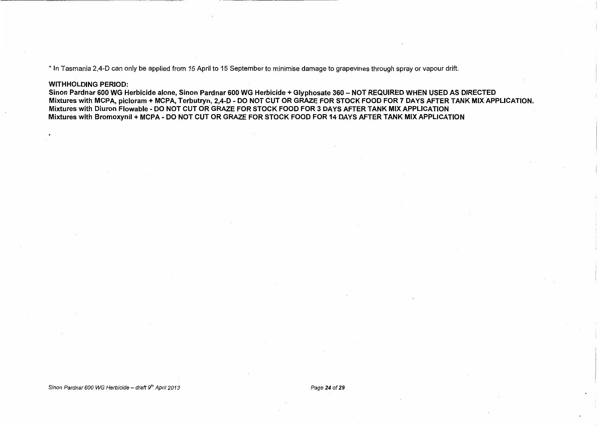\* In Tasmania 2,4-D can only be applied from 15 April to 15 September to minimise damage to grapevines through spray or vapour drift.

#### WITHHOLDING PERIOD:

Sinon Pardnar 600 WG Herbicide alone, Sinon Pardnar 600 WG Herbicide + Glyphosate 360 - NOT REQUIRED WHEN USED AS DIRECTED Mixtures with MCPA, picloram + MCPA, Terbutryn, 2,4-D- DO NOT CUT OR GRAZE FOR STOCK FOOD FOR 7 DAYS AFTER TANK MIX APPLICATION. Mixtures with Diuron Flowable- DO NOT CUT OR GRAZE FOR STOCK FOOD FOR 3 DAYS AFTER TANK MIX APPLICATION Mixtures with Bromoxynil + MCPA- DO NOT CUT OR GRAZE FOR STOCK FOOD FOR 14 DAYS AFTER TANK MIX APPLICATION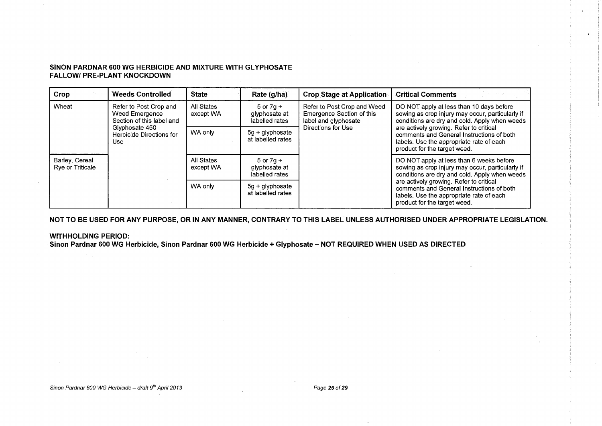#### **SINON PARDNAR 600 WG HERBICIDE AND MIXTURE WITH GLYPHOSATE FALLOW/ PRE-PLANT KNOCKDOWN**

| Crop                               | <b>Weeds Controlled</b>                                                      | <b>State</b>            | Rate (g/ha)                                      | <b>Crop Stage at Application</b>                                                 | <b>Critical Comments</b>                                                                                                                                         |
|------------------------------------|------------------------------------------------------------------------------|-------------------------|--------------------------------------------------|----------------------------------------------------------------------------------|------------------------------------------------------------------------------------------------------------------------------------------------------------------|
| Wheat                              | Refer to Post Crop and<br><b>Weed Emergence</b><br>Section of this label and | All States<br>except WA | $5$ or $7q +$<br>glyphosate at<br>labelled rates | Refer to Post Crop and Weed<br>Emergence Section of this<br>label and glyphosate | DO NOT apply at less than 10 days before<br>sowing as crop injury may occur, particularly if<br>conditions are dry and cold. Apply when weeds                    |
|                                    | Glyphosate 450<br>Herbicide Directions for<br>Use                            | WA only                 | $5q + q$ lyphosate<br>at labelled rates          | Directions for Use                                                               | are actively growing. Refer to critical<br>comments and General Instructions of both<br>labels. Use the appropriate rate of each<br>product for the target weed. |
| Barley, Cereal<br>Rye or Triticale |                                                                              | All States<br>except WA | $5$ or $7q +$<br>glyphosate at<br>labelled rates |                                                                                  | DO NOT apply at less than 6 weeks before<br>sowing as crop injury may occur, particularly if<br>conditions are dry and cold. Apply when weeds                    |
|                                    |                                                                              | WA only                 | $5g + g$ lyphosate<br>at labelled rates          |                                                                                  | are actively growing. Refer to critical<br>comments and General Instructions of both<br>labels. Use the appropriate rate of each<br>product for the target weed. |

**NOT TO BE USED FOR ANY PURPOSE, OR IN ANY MANNER, CONTRARY TO THIS LABEL UNLESS AUTHORISED UNDER APPROPRIATE LEGISLATION.** 

#### **WITHHOLDING PERIOD:**

**Sinon Pardnar 600 WG Herbicide, Sinon Pardnar 600 WG Herbicide+ Glyphosate- NOT REQUIRED WHEN USED AS DIRECTED**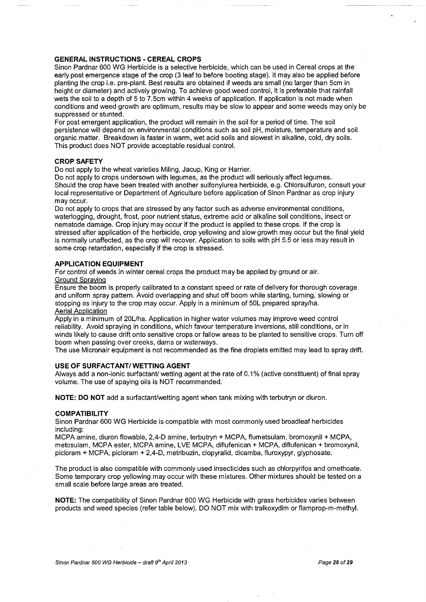#### **GENERAL INSTRUCTIONS - CEREAL CROPS**

Sinon Pardnar 600 WG Herbicide is a selective herbicide, which can be used in Cereal crops at the early post emergence stage of the crop (3 leaf to before booting stage). It may also be applied before planting the crop i.e. pre-plant. Best results are obtained if weeds are small (no larger than 5cm in height or diameter) and actively growing. To achieve good weed control, it is preferable that rainfall wets the soil to a depth of 5 to 7.5cm within 4 weeks of application. If application is not made when conditions and weed growth are optimum, results may be slow to appear and some weeds may only be suppressed or stunted.

For post emergent application, the product will remain in the soil for a period of time. The soil persistence will depend on environmental conditions such as soil pH, moisture, temperature and soil organic matter. Breakdown is faster in warm, wet acid soils and slowest in alkaline, cold, dry soils. This product does NOT provide acceptable residual control.

#### **CROP SAFETY**

Do not apply to the wheat varieties Miling, Jacup, King or Harrier.

Do not apply to crops undersown with legumes, as the product will seriously affect legumes. Should the crop have been treated with another sulfonylurea herbicide, e.g. Chlorsulfuron, consult your local representative or Department of Agriculture before application of Sinon Pardnar as crop injury may occur.

Do not apply to crops that are stressed by any factor such as adverse environmental conditions, waterlogging, drought, frost, poor nutrient status, extreme acid or alkaline soil conditions, insect or nematode damage. Crop injury may occur if the product is applied to these crops. If the crop is stressed after application of the herbicide, crop yellowing and slow growth may occur but the final yield is normally unaffected, as the crop will recover. Application to soils with pH 5.5 or less may result in some crop retardation, especially if the crop is stressed.

#### **APPLICATION EQUIPMENT**

For control of weeds in winter cereal crops the product may be applied by ground or air. Ground Spraying

Ensure the boom is properly calibrated to a constant speed or rate of delivery for thorough coverage and uniform spray pattern. Avoid overlapping and shut off boom while starting, turning, slowing or stopping as injury to the crop may occur. Apply in a minimum of 50L prepared spray/ha. Aerial Application

Apply in a minimum of 20L/ha. Application in higher water volumes may improve weed control reliability. Avoid spraying in conditions, which favour temperature inversions, still conditions, or in winds likely to cause drift onto sensitive crops or fallow areas to be planted to sensitive crops. Turn off boom when passing over creeks, dams or waterways.

The use Micronair equipment is not recommended as the fine droplets emitted may lead to spray drift.

#### **USE OF SURFACTANT/ WETTING AGENT**

Always add a non-ionic surfactant/ wetting agent at the rate of 0.1% (active constituent) of final spray volume. The use of spaying oils is NOT recommended.

**NOTE: DO NOT** add a surfactant/wetting agent when tank mixing with terbutryn or diuron.

#### **COMPATIBILITY**

Sinon Pardnar 600 WG Herbicide is compatible with most commonly used broadleaf herbicides including:

MCPA amine, diuron flowable, 2,4-D amine, terbutryn + MCPA, flumetsulam, bromoxynil + MCPA, metosulam, MCPA ester, MCPA amine, LVE MCPA, diflufenican + MCPA, diflufenican + bromoxynil, picloram + MCPA, picloram + 2,4-D, metribuzin, clopyralid, dicamba, fluroxypyr, glyphosate.

The product is also compatible with commonly used insecticides such as chlorpyrifos and omethoate. Some temporary crop yellowing may occur with these mixtures. Other mixtures should be tested on a small scale before large areas are treated.

**NOTE:** The compatibility of Sinon Pardnar 600 WG Herbicide with grass herbicides varies between products and weed species (refer table below). DO NOT mix with tralkoxydim or flamprop-m-methyl.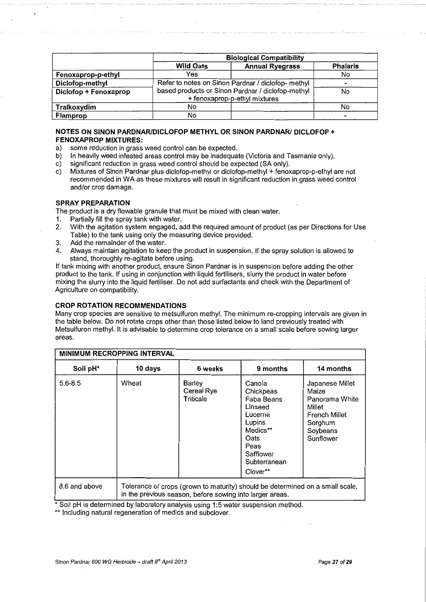|                       | <b>Biological Compatibility</b>                    |                        |                 |  |  |  |  |
|-----------------------|----------------------------------------------------|------------------------|-----------------|--|--|--|--|
|                       | <b>Wild Oats</b>                                   | <b>Annual Ryegrass</b> | <b>Phalaris</b> |  |  |  |  |
| Fenoxaprop-p-ethyl    | Yes                                                |                        | No              |  |  |  |  |
| Diclofop-methyl       | Refer to notes on Sinon Pardnar / diclofop- methyl |                        |                 |  |  |  |  |
| Diclofop + Fenoxaprop | based products or Sinon Pardnar / diclofop-methyl  | No.                    |                 |  |  |  |  |
|                       | + fenoxaprop-p-ethyl mixtures                      |                        |                 |  |  |  |  |
| Tralkoxydim           | No.                                                | No                     |                 |  |  |  |  |
| Flamprop              | No                                                 |                        |                 |  |  |  |  |

#### **NOTES ON SINON PARDNARIDICLOFOP METHYL OR SINON PARDNARI DICLOFOP** + **FENOXAPROP MIXTURES:**

- 
- a) some reduction in grass weed control can be expected.<br>b) In heavily weed infested areas control may be inadequa b) In heavily weed infested areas control may be inadequate (Victoria and Tasmania only).<br>c) significant reduction in grass weed control should be expected (SA only).
- c) significant reduction in grass weed control should be expected (SA only).<br>c) Mixtures of Sinon Pardnar plus diclofop-methyl or diclofop-methyl + fenox
- Mixtures of Sinon Pardnar plus diclofop-methyl or diclofop-methyl + fenoxaprop-p-ethyl are not recommended in WA as these mixtures will result in significant reduction in grass weed control and/or crop damage.

#### **SPRAY PREPARATION**

The product is a dry flowable granule that must be mixed with clean water.

- 1. Partially fill the spray tank with water.
- 2. With the agitation system engaged, add the required amount of product (as per Directions for Use Table) to the tank using only the measuring device provided.
- 3. Add the remainder of the water.
- 4. Always maintain agitation to keep the product in suspension. If the spray solution is allowed to stand, thoroughly re-agitate before using.

If tank mixing with another product, ensure Sinon Pardnar is in suspension before adding the other product to the tank. If using in conjunction with liquid fertilisers, slurry the product in water before mixing the slurry into the liquid fertiliser. Do not add surfactants and check with the Department of Agriculture on compatibility.

#### **CROP ROTATION RECOMMENDATIONS**

Many crop species are sensitive to metsulfuron methyl. The minimum re-cropping intervals are given in the table below. Do not rotate crops other than those listed below to land previously treated with Metsulfuron methyl. It is advisable to determine crop tolerance on a small scale before sowing larger areas.

| <b>MINIMUM RECROPPING INTERVAL</b> |                                                                                                                                           |                                          |                                                                                                                                        |                                                                                                           |  |  |  |
|------------------------------------|-------------------------------------------------------------------------------------------------------------------------------------------|------------------------------------------|----------------------------------------------------------------------------------------------------------------------------------------|-----------------------------------------------------------------------------------------------------------|--|--|--|
| Soil pH*                           | 10 days                                                                                                                                   | 6 weeks                                  | 9 months                                                                                                                               | 14 months                                                                                                 |  |  |  |
| $5.6 - 8.5$                        | Wheat                                                                                                                                     | <b>Barley</b><br>Cereal Rye<br>Triticale | Canola<br>Chickpeas<br>Faba Beans<br>Linseed<br>Lucerne<br>Lupins<br>Medics**<br>Oats<br>Peas<br>Safflower<br>Subterranean<br>Clover** | Japanese Millet<br>Maize<br>Panorama White<br>Millet<br>French Millet<br>Sorghum<br>Soybeans<br>Sunflower |  |  |  |
| 8.6 and above                      | Tolerance of crops (grown to maturity) should be determined on a small scale,<br>in the previous season, before sowing into larger areas. |                                          |                                                                                                                                        |                                                                                                           |  |  |  |

\*Soil pH IS determined by laboratory analysis usmg 1:5 water suspension method.

\*\* Including natural regeneration of medics and subclover.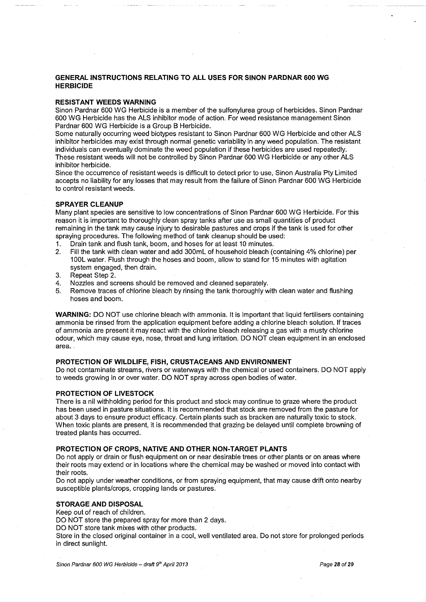#### **GENERAL INSTRUCTIONS RELATING TO ALL USES FOR SINON PARDNAR 600 WG HERBICIDE**

#### **RESISTANT WEEDS WARNING**

Sinon Pardnar 600 WG Herbicide is a member of the sulfonylurea group of herbicides. Sinon Pardnar 600 WG Herbicide has the ALS inhibitor mode of action. For weed resistance management Sinon Pardnar 600 WG Herbicide is a Group B Herbicide.

Some naturally occurring weed biotypes resistant to Sinon Pardnar 600 WG Herbicide and other ALS inhibitor herbicides may exist through normal genetic variability in any weed population. The resistant individuals can eventually dominate the weed population if these herbicides are used repeatedly. These resistant weeds Will not be controlled by Sinon Pardnar 600 WG Herbicide or any other ALS inhibitor herbicide.

Since the occurrence of resistant weeds is difficult to detect prior to use, Sinon Australia Pty Limited accepts no liability for any losses that may result from the failure of Sinon Pardnar 600 WG Herbicide to control resistant weeds.

#### **SPRAYER CLEANUP**

Many plant species are sensitive to low concentrations of Sinon Pardnar 600 WG Herbicide. For this reason it is important to thoroughly clean spray tanks after use as small quantities of product remaining in the tank may cause injury to desirable pastures and crops if the tank is used for other spraying procedures. The following method of tank Cleanup should be used:

- 1. Drain tank and flush tank, boom, and hoses for at least 10 minutes.
- 2. Fill the tank with clean water and add 300mL of household bleach (containing 4% chlorine) per 1 DOL water. Flush through the hoses and boom, allow to stand for 15 minutes with agitation system engaged, then drain.
- 3. Repeat Step 2.
- 4. Nozzles and screens should be removed and cleaned separately.
- 5. Remove traces of chlorine bleach by rinsing the tank thoroughly with clean water and flushing hoses and boom.

**WARNING:** DO NOT use chlorine bleach with ammonia. It is important that liquid fertilisers containing ammonia be rinsed from the application equipment before adding a chlorine bleach solution. If traces of ammonia are present it may react with the chlorine bleach releasing a gas with a musty chlorine odour, which may cause eye, nose, throat and lung irritation. DO NOT clean equipment in an enclosed area.

#### **PROTECTION OF WILDLIFE, FISH, CRUSTACEANS AND ENVIRONMENT**

Do not contaminate streams, rivers or waterways with the chemical or used containers, DO NOT apply to weeds growing in or over water. DO NOT spray across open bodies of water.

#### **PROTECTION OF LIVESTOCK**

There is a nil withholding period for this product and stock may continue to graze where the product . has been used in pasture situations. It is recommended that stock are removed from the pasture for about 3 days to ensure product efficacy. Certain plants such as bracken are naturally toxic to stock. When toxic plants are present, it is recommended that grazing be delayed until complete browning of treated plants has occurred.

#### **PROTECTION OF CROPS, NATIVE AND OTHER NON-TARGET PLANTS**

Do not apply or drain or flush equipment on or near desirable trees or other plants or on areas where their roots may extend or in locations where the chemical may be washed or moved into contact with their roots.

Do not apply under weather conditions, or from spraying equipment, that may cause drift onto nearby susceptible plants/crops, cropping lands or pastures.

#### **STORAGE AND DISPOSAL**

Keep out of reach of children.

DO NOT store the prepared spray for more than 2 days.

DO NOT store tank mixes with other products.

Store in the closed original container in a cool, well ventilated area. Do not store for prolonged periods in direct sunlight.